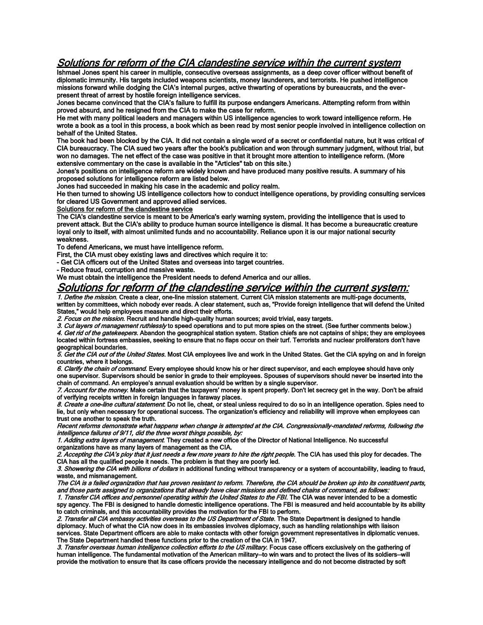## Solutions for reform of the CIA clandestine service within the current system

Ishmael Jones spent his career in multiple, consecutive overseas assignments, as a deep cover officer without benefit of diplomatic immunity. His targets included weapons scientists, money launderers, and terrorists. He pushed intelligence missions forward while dodging the CIA's internal purges, active thwarting of operations by bureaucrats, and the everpresent threat of arrest by hostile foreign intelligence services.

Jones became convinced that the CIA's failure to fulfill its purpose endangers Americans. Attempting reform from within proved absurd, and he resigned from the CIA to make the case for reform.

He met with many political leaders and managers within US intelligence agencies to work toward intelligence reform. He wrote a book as a tool in this process, a book which as been read by most senior people involved in intelligence collection on behalf of the United States.

The book had been blocked by the CIA. It did not contain a single word of a secret or confidential nature, but it was critical of CIA bureaucracy. The CIA sued two years after the book's publication and won through summary judgment, without trial, but won no damages. The net effect of the case was positive in that it brought more attention to intelligence reform. (More extensive commentary on the case is available in the "Articles" tab on this site.)

Jones's positions on intelligence reform are widely known and have produced many positive results. A summary of his proposed solutions for intelligence reform are listed below.

Jones had succeeded in making his case in the academic and policy realm.

He then turned to showing US intelligence collectors how to conduct intelligence operations, by providing consulting services for cleared US Government and approved allied services.

Solutions for reform of the clandestine service

The CIA's clandestine service is meant to be America's early warning system, providing the intelligence that is used to prevent attack. But the CIA's ability to produce human source intelligence is dismal. It has become a bureaucratic creature loyal only to itself, with almost unlimited funds and no accountability. Reliance upon it is our major national security weakness.

To defend Americans, we must have intelligence reform.

First, the CIA must obey existing laws and directives which require it to:

- Get CIA officers out of the United States and overseas into target countries.

- Reduce fraud, corruption and massive waste.

We must obtain the intelligence the President needs to defend America and our allies.

## Solutions for reform of the clandestine service within the current system:

1. Define the mission. Create a clear, one-line mission statement. Current CIA mission statements are multi-page documents, written by committees, which nobody ever reads. A clear statement, such as, "Provide foreign intelligence that will defend the United States," would help employees measure and direct their efforts.

2. Focus on the mission. Recruit and handle high-quality human sources; avoid trivial, easy targets.

3. Cut layers of management ruthlessly to speed operations and to put more spies on the street. (See further comments below.)

4. Get rid of the gatekeepers. Abandon the geographical station system. Station chiefs are not captains of ships; they are employees located within fortress embassies, seeking to ensure that no flaps occur on their turf. Terrorists and nuclear proliferators don't have geographical boundaries.

5. Get the CIA out of the United States. Most CIA employees live and work in the United States. Get the CIA spying on and in foreign countries, where it belongs.

6. Clarify the chain of command. Every employee should know his or her direct supervisor, and each employee should have only one supervisor. Supervisors should be senior in grade to their employees. Spouses of supervisors should never be inserted into the chain of command. An employee's annual evaluation should be written by a single supervisor.

7. Account for the money. Make certain that the taxpayers' money is spent properly. Don't let secrecy get in the way. Don't be afraid of verifying receipts written in foreign languages in faraway places.

8. Create a one-line cultural statement. Do not lie, cheat, or steal unless required to do so in an intelligence operation. Spies need to lie, but only when necessary for operational success. The organization's efficiency and reliability will improve when employees can trust one another to speak the truth.

Recent reforms demonstrate what happens when change is attempted at the CIA. Congressionally-mandated reforms, following the intelligence failures of 9/11, did the three worst things possible, by:

1. Adding extra layers of management. They created a new office of the Director of National Intelligence. No successful organizations have as many layers of management as the CIA.

2. Accepting the CIA's ploy that it just needs a few more years to hire the right people. The CIA has used this ploy for decades. The CIA has all the qualified people it needs. The problem is that they are poorly led.

3. Showering the CIA with billions of dollars in additional funding without transparency or a system of accountability, leading to fraud, waste, and mismanagement.

The CIA is a failed organization that has proven resistant to reform. Therefore, the CIA should be broken up into its constituent parts, and those parts assigned to organizations that already have clear missions and defined chains of command, as follows:

1. Transfer CIA offices and personnel operating within the United States to the FBI. The CIA was never intended to be a domestic spy agency. The FBI is designed to handle domestic intelligence operations. The FBI is measured and held accountable by its ability to catch criminals, and this accountability provides the motivation for the FBI to perform.

2. Transfer all CIA embassy activities overseas to the US Department of State. The State Department is designed to handle diplomacy. Much of what the CIA now does in its embassies involves diplomacy, such as handling relationships with liaison services. State Department officers are able to make contacts with other foreign government representatives in diplomatic venues. The State Department handled these functions prior to the creation of the CIA in 1947.

3. Transfer overseas human intelligence collection efforts to the US military. Focus case officers exclusively on the gathering of human intelligence. The fundamental motivation of the American military—to win wars and to protect the lives of its soldiers—will provide the motivation to ensure that its case officers provide the necessary intelligence and do not become distracted by soft